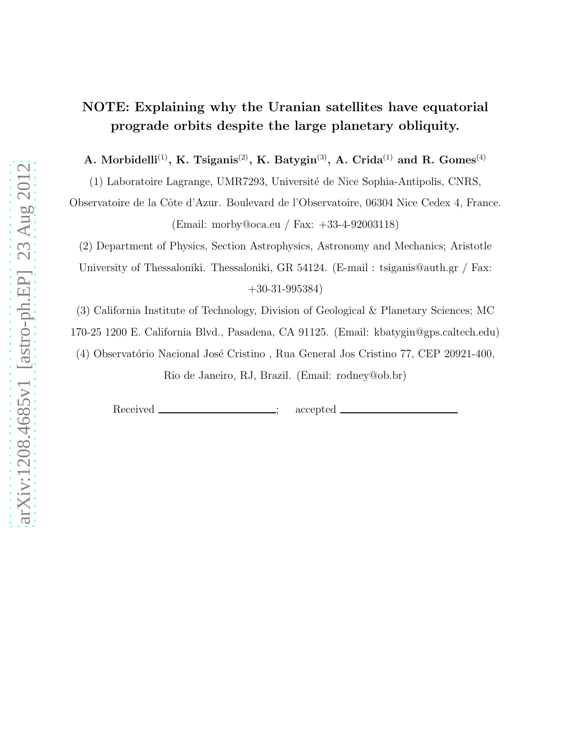# NOTE: Explaining why the Uranian satellites have equatorial prograde orbits despite the large planetary obliquity.

A. Morbidelli<sup>(1)</sup>, K. Tsiganis<sup>(2)</sup>, K. Batygin<sup>(3)</sup>, A. Crida<sup>(1)</sup> and R. Gomes<sup>(4)</sup>

(1) Laboratoire Lagrange, UMR7293, Université de Nice Sophia-Antipolis, CNRS,

Observatoire de la Cˆote d'Azur. Boulevard de l'Observatoire, 06304 Nice Cedex 4, France. (Email: morby@oca.eu / Fax: +33-4-92003118)

(2) Department of Physics, Section Astrophysics, Astronomy and Mechanics; Aristotle

University of Thessaloniki. Thessaloniki, GR 54124. (E-mail: tsiganis@auth.gr / Fax: +30-31-995384)

(3) California Institute of Technology, Division of Geological & Planetary Sciences; MC

170-25 1200 E. California Blvd., Pasadena, CA 91125. (Email: kbatygin@gps.caltech.edu)

(4) Observatório Nacional José Cristino, Rua General Jos Cristino 77, CEP 20921-400,

Rio de Janeiro, RJ, Brazil. (Email: rodney@ob.br)

Received <u>\_\_\_\_\_\_\_\_\_\_\_\_\_\_\_\_\_\_;</u> accepted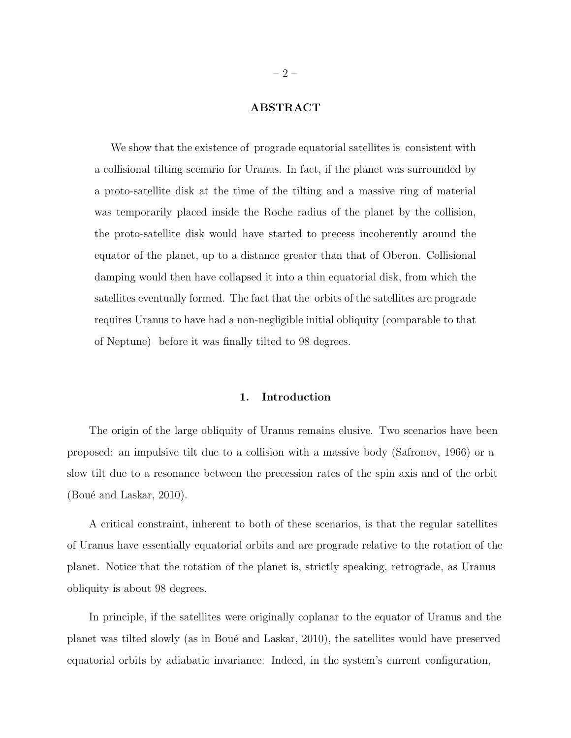## ABSTRACT

We show that the existence of prograde equatorial satellites is consistent with a collisional tilting scenario for Uranus. In fact, if the planet was surrounded by a proto-satellite disk at the time of the tilting and a massive ring of material was temporarily placed inside the Roche radius of the planet by the collision, the proto-satellite disk would have started to precess incoherently around the equator of the planet, up to a distance greater than that of Oberon. Collisional damping would then have collapsed it into a thin equatorial disk, from which the satellites eventually formed. The fact that the orbits of the satellites are prograde requires Uranus to have had a non-negligible initial obliquity (comparable to that of Neptune) before it was finally tilted to 98 degrees.

#### 1. Introduction

The origin of the large obliquity of Uranus remains elusive. Two scenarios have been proposed: an impulsive tilt due to a collision with a massive body (Safronov, 1966) or a slow tilt due to a resonance between the precession rates of the spin axis and of the orbit (Boué and Laskar,  $2010$ ).

A critical constraint, inherent to both of these scenarios, is that the regular satellites of Uranus have essentially equatorial orbits and are prograde relative to the rotation of the planet. Notice that the rotation of the planet is, strictly speaking, retrograde, as Uranus obliquity is about 98 degrees.

In principle, if the satellites were originally coplanar to the equator of Uranus and the planet was tilted slowly (as in Boué and Laskar, 2010), the satellites would have preserved equatorial orbits by adiabatic invariance. Indeed, in the system's current configuration,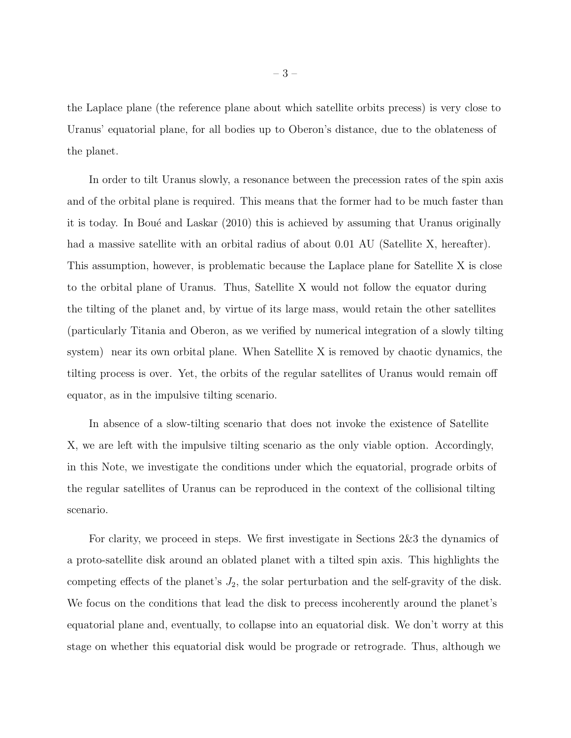the Laplace plane (the reference plane about which satellite orbits precess) is very close to Uranus' equatorial plane, for all bodies up to Oberon's distance, due to the oblateness of the planet.

In order to tilt Uranus slowly, a resonance between the precession rates of the spin axis and of the orbital plane is required. This means that the former had to be much faster than it is today. In Boué and Laskar (2010) this is achieved by assuming that Uranus originally had a massive satellite with an orbital radius of about 0.01 AU (Satellite X, hereafter). This assumption, however, is problematic because the Laplace plane for Satellite X is close to the orbital plane of Uranus. Thus, Satellite X would not follow the equator during the tilting of the planet and, by virtue of its large mass, would retain the other satellites (particularly Titania and Oberon, as we verified by numerical integration of a slowly tilting system) near its own orbital plane. When Satellite X is removed by chaotic dynamics, the tilting process is over. Yet, the orbits of the regular satellites of Uranus would remain off equator, as in the impulsive tilting scenario.

In absence of a slow-tilting scenario that does not invoke the existence of Satellite X, we are left with the impulsive tilting scenario as the only viable option. Accordingly, in this Note, we investigate the conditions under which the equatorial, prograde orbits of the regular satellites of Uranus can be reproduced in the context of the collisional tilting scenario.

For clarity, we proceed in steps. We first investigate in Sections 2&3 the dynamics of a proto-satellite disk around an oblated planet with a tilted spin axis. This highlights the competing effects of the planet's  $J_2$ , the solar perturbation and the self-gravity of the disk. We focus on the conditions that lead the disk to precess incoherently around the planet's equatorial plane and, eventually, to collapse into an equatorial disk. We don't worry at this stage on whether this equatorial disk would be prograde or retrograde. Thus, although we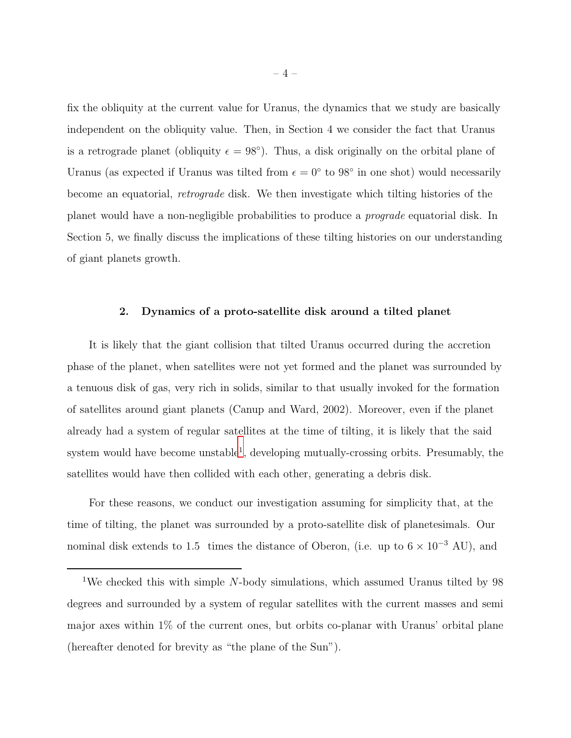fix the obliquity at the current value for Uranus, the dynamics that we study are basically independent on the obliquity value. Then, in Section 4 we consider the fact that Uranus is a retrograde planet (obliquity  $\epsilon = 98^{\circ}$ ). Thus, a disk originally on the orbital plane of Uranus (as expected if Uranus was tilted from  $\epsilon = 0^{\circ}$  to 98° in one shot) would necessarily become an equatorial, retrograde disk. We then investigate which tilting histories of the planet would have a non-negligible probabilities to produce a prograde equatorial disk. In Section 5, we finally discuss the implications of these tilting histories on our understanding of giant planets growth.

#### 2. Dynamics of a proto-satellite disk around a tilted planet

It is likely that the giant collision that tilted Uranus occurred during the accretion phase of the planet, when satellites were not yet formed and the planet was surrounded by a tenuous disk of gas, very rich in solids, similar to that usually invoked for the formation of satellites around giant planets (Canup and Ward, 2002). Moreover, even if the planet already had a system of regular satellites at the time of tilting, it is likely that the said system would have become unstable<sup>[1](#page-3-0)</sup>, developing mutually-crossing orbits. Presumably, the satellites would have then collided with each other, generating a debris disk.

For these reasons, we conduct our investigation assuming for simplicity that, at the time of tilting, the planet was surrounded by a proto-satellite disk of planetesimals. Our nominal disk extends to 1.5 times the distance of Oberon, (i.e. up to  $6 \times 10^{-3}$  AU), and

<span id="page-3-0"></span><sup>1</sup>We checked this with simple N-body simulations, which assumed Uranus tilted by 98 degrees and surrounded by a system of regular satellites with the current masses and semi major axes within 1% of the current ones, but orbits co-planar with Uranus' orbital plane (hereafter denoted for brevity as "the plane of the Sun").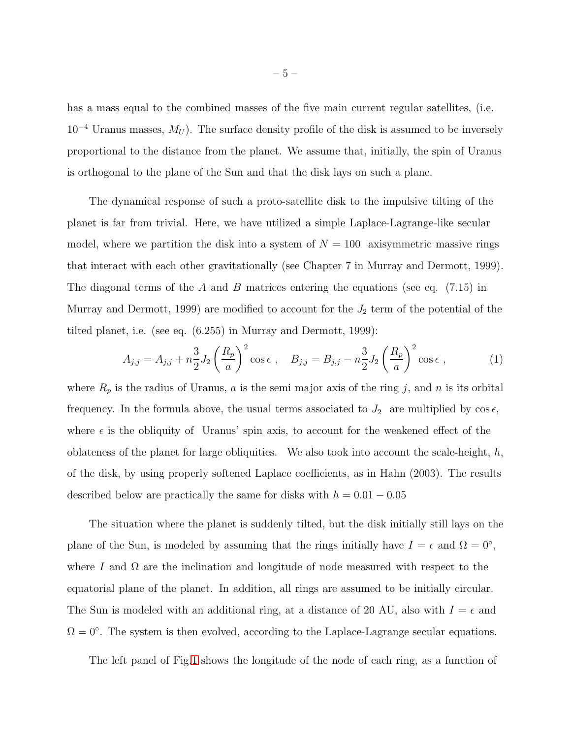has a mass equal to the combined masses of the five main current regular satellites, (i.e.  $10^{-4}$  Uranus masses,  $M_U$ ). The surface density profile of the disk is assumed to be inversely proportional to the distance from the planet. We assume that, initially, the spin of Uranus is orthogonal to the plane of the Sun and that the disk lays on such a plane.

The dynamical response of such a proto-satellite disk to the impulsive tilting of the planet is far from trivial. Here, we have utilized a simple Laplace-Lagrange-like secular model, where we partition the disk into a system of  $N = 100$  axisymmetric massive rings that interact with each other gravitationally (see Chapter 7 in Murray and Dermott, 1999). The diagonal terms of the A and B matrices entering the equations (see eq.  $(7.15)$  in Murray and Dermott, 1999) are modified to account for the  $J_2$  term of the potential of the tilted planet, i.e. (see eq. (6.255) in Murray and Dermott, 1999):

<span id="page-4-0"></span>
$$
A_{j,j} = A_{j,j} + n\frac{3}{2}J_2 \left(\frac{R_p}{a}\right)^2 \cos \epsilon , \quad B_{j,j} = B_{j,j} - n\frac{3}{2}J_2 \left(\frac{R_p}{a}\right)^2 \cos \epsilon ,
$$
 (1)

where  $R_p$  is the radius of Uranus, a is the semi major axis of the ring j, and n is its orbital frequency. In the formula above, the usual terms associated to  $J_2$  are multiplied by  $\cos \epsilon$ , where  $\epsilon$  is the obliquity of Uranus' spin axis, to account for the weakened effect of the oblateness of the planet for large obliquities. We also took into account the scale-height,  $h$ , of the disk, by using properly softened Laplace coefficients, as in Hahn (2003). The results described below are practically the same for disks with  $h = 0.01 - 0.05$ 

The situation where the planet is suddenly tilted, but the disk initially still lays on the plane of the Sun, is modeled by assuming that the rings initially have  $I = \epsilon$  and  $\Omega = 0^{\circ}$ , where I and  $\Omega$  are the inclination and longitude of node measured with respect to the equatorial plane of the planet. In addition, all rings are assumed to be initially circular. The Sun is modeled with an additional ring, at a distance of 20 AU, also with  $I = \epsilon$  and  $\Omega = 0^{\circ}$ . The system is then evolved, according to the Laplace-Lagrange secular equations.

The left panel of Fig[.1](#page-6-0) shows the longitude of the node of each ring, as a function of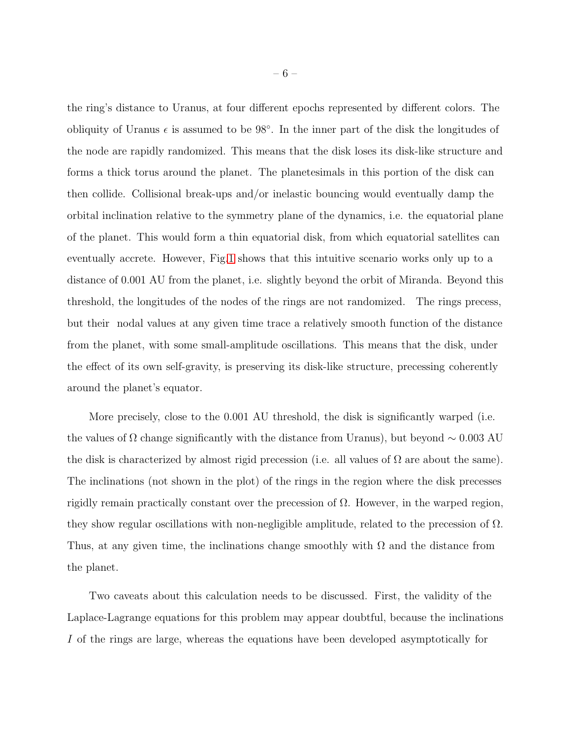the ring's distance to Uranus, at four different epochs represented by different colors. The obliquity of Uranus  $\epsilon$  is assumed to be 98°. In the inner part of the disk the longitudes of the node are rapidly randomized. This means that the disk loses its disk-like structure and forms a thick torus around the planet. The planetesimals in this portion of the disk can then collide. Collisional break-ups and/or inelastic bouncing would eventually damp the orbital inclination relative to the symmetry plane of the dynamics, i.e. the equatorial plane of the planet. This would form a thin equatorial disk, from which equatorial satellites can eventually accrete. However, Fig[.1](#page-6-0) shows that this intuitive scenario works only up to a distance of 0.001 AU from the planet, i.e. slightly beyond the orbit of Miranda. Beyond this threshold, the longitudes of the nodes of the rings are not randomized. The rings precess, but their nodal values at any given time trace a relatively smooth function of the distance from the planet, with some small-amplitude oscillations. This means that the disk, under the effect of its own self-gravity, is preserving its disk-like structure, precessing coherently around the planet's equator.

More precisely, close to the 0.001 AU threshold, the disk is significantly warped (i.e. the values of  $\Omega$  change significantly with the distance from Uranus), but beyond  $\sim 0.003$  AU the disk is characterized by almost rigid precession (i.e. all values of  $\Omega$  are about the same). The inclinations (not shown in the plot) of the rings in the region where the disk precesses rigidly remain practically constant over the precession of Ω. However, in the warped region, they show regular oscillations with non-negligible amplitude, related to the precession of  $\Omega$ . Thus, at any given time, the inclinations change smoothly with  $\Omega$  and the distance from the planet.

Two caveats about this calculation needs to be discussed. First, the validity of the Laplace-Lagrange equations for this problem may appear doubtful, because the inclinations I of the rings are large, whereas the equations have been developed asymptotically for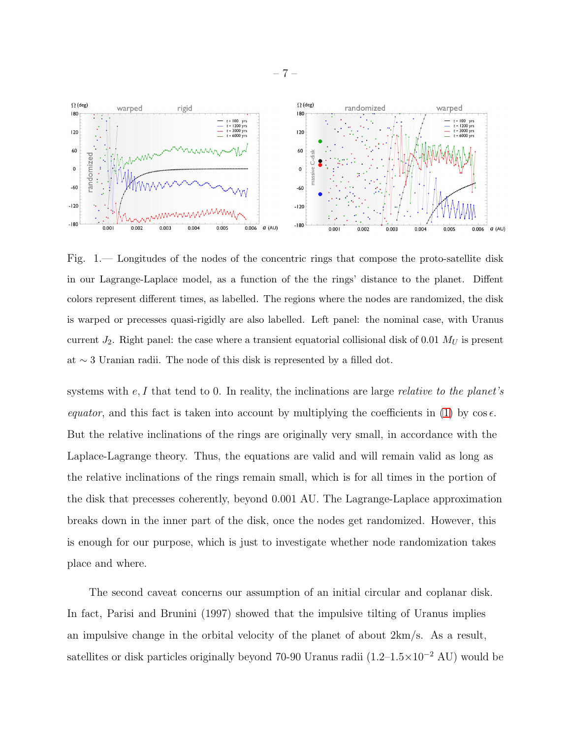

<span id="page-6-0"></span>Fig. 1.— Longitudes of the nodes of the concentric rings that compose the proto-satellite disk in our Lagrange-Laplace model, as a function of the the rings' distance to the planet. Diffent colors represent different times, as labelled. The regions where the nodes are randomized, the disk is warped or precesses quasi-rigidly are also labelled. Left panel: the nominal case, with Uranus current  $J_2$ . Right panel: the case where a transient equatorial collisional disk of 0.01  $M_U$  is present at ∼ 3 Uranian radii. The node of this disk is represented by a filled dot.

systems with  $e, I$  that tend to 0. In reality, the inclinations are large relative to the planet's equator, and this fact is taken into account by multiplying the coefficients in [\(1\)](#page-4-0) by  $\cos \epsilon$ . But the relative inclinations of the rings are originally very small, in accordance with the Laplace-Lagrange theory. Thus, the equations are valid and will remain valid as long as the relative inclinations of the rings remain small, which is for all times in the portion of the disk that precesses coherently, beyond 0.001 AU. The Lagrange-Laplace approximation breaks down in the inner part of the disk, once the nodes get randomized. However, this is enough for our purpose, which is just to investigate whether node randomization takes place and where.

The second caveat concerns our assumption of an initial circular and coplanar disk. In fact, Parisi and Brunini (1997) showed that the impulsive tilting of Uranus implies an impulsive change in the orbital velocity of the planet of about 2km/s. As a result, satellites or disk particles originally beyond 70-90 Uranus radii (1.2–1.5×10<sup>-2</sup> AU) would be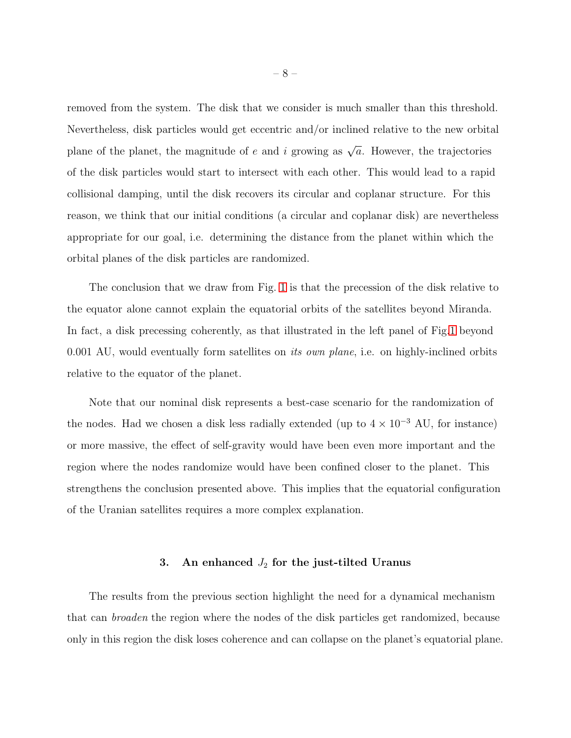removed from the system. The disk that we consider is much smaller than this threshold. Nevertheless, disk particles would get eccentric and/or inclined relative to the new orbital plane of the planet, the magnitude of e and i growing as  $\sqrt{a}$ . However, the trajectories of the disk particles would start to intersect with each other. This would lead to a rapid collisional damping, until the disk recovers its circular and coplanar structure. For this reason, we think that our initial conditions (a circular and coplanar disk) are nevertheless appropriate for our goal, i.e. determining the distance from the planet within which the orbital planes of the disk particles are randomized.

The conclusion that we draw from Fig. [1](#page-6-0) is that the precession of the disk relative to the equator alone cannot explain the equatorial orbits of the satellites beyond Miranda. In fact, a disk precessing coherently, as that illustrated in the left panel of Fig[.1](#page-6-0) beyond 0.001 AU, would eventually form satellites on *its own plane*, i.e. on highly-inclined orbits relative to the equator of the planet.

Note that our nominal disk represents a best-case scenario for the randomization of the nodes. Had we chosen a disk less radially extended (up to  $4 \times 10^{-3}$  AU, for instance) or more massive, the effect of self-gravity would have been even more important and the region where the nodes randomize would have been confined closer to the planet. This strengthens the conclusion presented above. This implies that the equatorial configuration of the Uranian satellites requires a more complex explanation.

# 3. An enhanced  $J_2$  for the just-tilted Uranus

The results from the previous section highlight the need for a dynamical mechanism that can broaden the region where the nodes of the disk particles get randomized, because only in this region the disk loses coherence and can collapse on the planet's equatorial plane.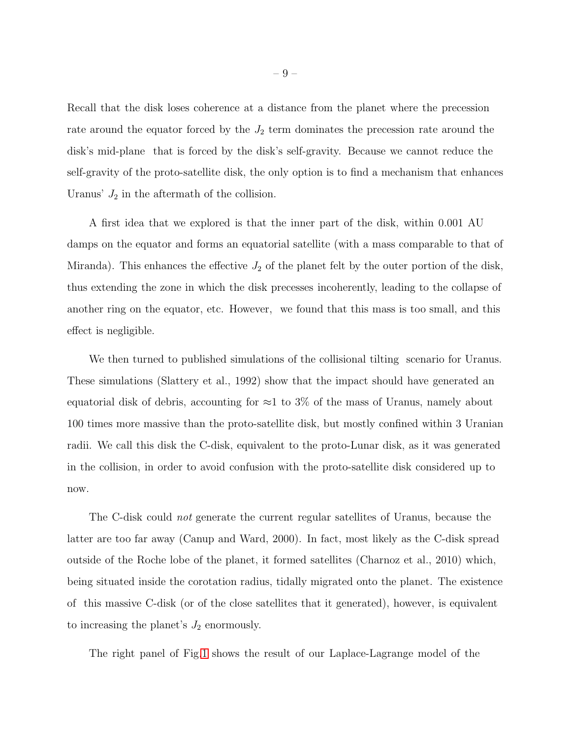Recall that the disk loses coherence at a distance from the planet where the precession rate around the equator forced by the  $J_2$  term dominates the precession rate around the disk's mid-plane that is forced by the disk's self-gravity. Because we cannot reduce the self-gravity of the proto-satellite disk, the only option is to find a mechanism that enhances Uranus'  $J_2$  in the aftermath of the collision.

A first idea that we explored is that the inner part of the disk, within 0.001 AU damps on the equator and forms an equatorial satellite (with a mass comparable to that of Miranda). This enhances the effective  $J_2$  of the planet felt by the outer portion of the disk, thus extending the zone in which the disk precesses incoherently, leading to the collapse of another ring on the equator, etc. However, we found that this mass is too small, and this effect is negligible.

We then turned to published simulations of the collisional tilting scenario for Uranus. These simulations (Slattery et al., 1992) show that the impact should have generated an equatorial disk of debris, accounting for  $\approx$ 1 to 3% of the mass of Uranus, namely about 100 times more massive than the proto-satellite disk, but mostly confined within 3 Uranian radii. We call this disk the C-disk, equivalent to the proto-Lunar disk, as it was generated in the collision, in order to avoid confusion with the proto-satellite disk considered up to now.

The C-disk could not generate the current regular satellites of Uranus, because the latter are too far away (Canup and Ward, 2000). In fact, most likely as the C-disk spread outside of the Roche lobe of the planet, it formed satellites (Charnoz et al., 2010) which, being situated inside the corotation radius, tidally migrated onto the planet. The existence of this massive C-disk (or of the close satellites that it generated), however, is equivalent to increasing the planet's  $J_2$  enormously.

The right panel of Fig[.1](#page-6-0) shows the result of our Laplace-Lagrange model of the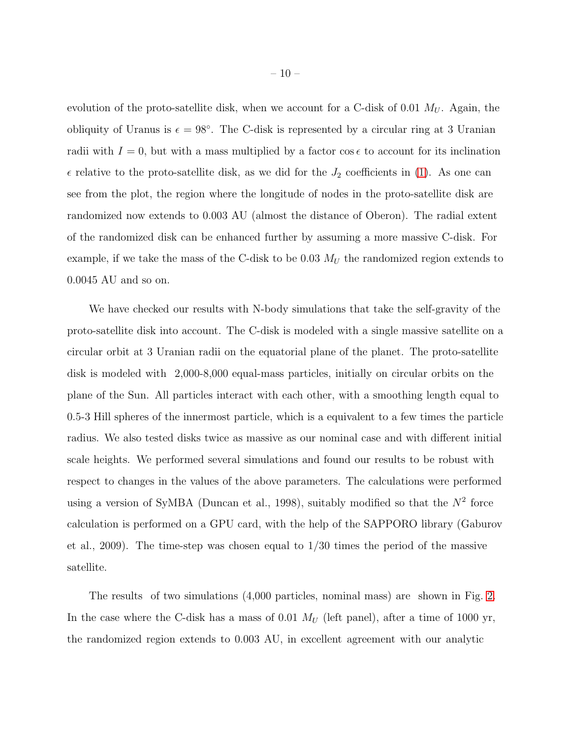evolution of the proto-satellite disk, when we account for a C-disk of 0.01  $M_U$ . Again, the obliquity of Uranus is  $\epsilon = 98^\circ$ . The C-disk is represented by a circular ring at 3 Uranian radii with  $I = 0$ , but with a mass multiplied by a factor cos  $\epsilon$  to account for its inclination  $\epsilon$  relative to the proto-satellite disk, as we did for the  $J_2$  coefficients in [\(1\)](#page-4-0). As one can see from the plot, the region where the longitude of nodes in the proto-satellite disk are randomized now extends to 0.003 AU (almost the distance of Oberon). The radial extent of the randomized disk can be enhanced further by assuming a more massive C-disk. For example, if we take the mass of the C-disk to be 0.03  $M_U$  the randomized region extends to 0.0045 AU and so on.

We have checked our results with N-body simulations that take the self-gravity of the proto-satellite disk into account. The C-disk is modeled with a single massive satellite on a circular orbit at 3 Uranian radii on the equatorial plane of the planet. The proto-satellite disk is modeled with 2,000-8,000 equal-mass particles, initially on circular orbits on the plane of the Sun. All particles interact with each other, with a smoothing length equal to 0.5-3 Hill spheres of the innermost particle, which is a equivalent to a few times the particle radius. We also tested disks twice as massive as our nominal case and with different initial scale heights. We performed several simulations and found our results to be robust with respect to changes in the values of the above parameters. The calculations were performed using a version of SyMBA (Duncan et al., 1998), suitably modified so that the  $N^2$  force calculation is performed on a GPU card, with the help of the SAPPORO library (Gaburov et al., 2009). The time-step was chosen equal to 1/30 times the period of the massive satellite.

The results of two simulations (4,000 particles, nominal mass) are shown in Fig. [2.](#page-10-0) In the case where the C-disk has a mass of 0.01  $M_U$  (left panel), after a time of 1000 yr, the randomized region extends to 0.003 AU, in excellent agreement with our analytic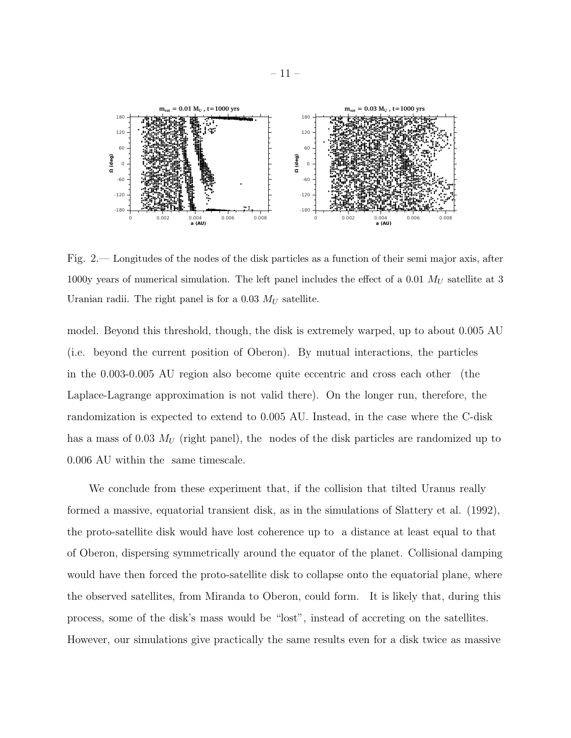

<span id="page-10-0"></span>Fig. 2.— Longitudes of the nodes of the disk particles as a function of their semi major axis, after 1000y years of numerical simulation. The left panel includes the effect of a 0.01  $M_U$  satellite at 3 Uranian radii. The right panel is for a 0.03  $M_U$  satellite.

model. Beyond this threshold, though, the disk is extremely warped, up to about 0.005 AU (i.e. beyond the current position of Oberon). By mutual interactions, the particles in the 0.003-0.005 AU region also become quite eccentric and cross each other (the Laplace-Lagrange approximation is not valid there). On the longer run, therefore, the randomization is expected to extend to 0.005 AU. Instead, in the case where the C-disk has a mass of 0.03  $M_U$  (right panel), the nodes of the disk particles are randomized up to 0.006 AU within the same timescale.

We conclude from these experiment that, if the collision that tilted Uranus really formed a massive, equatorial transient disk, as in the simulations of Slattery et al. (1992), the proto-satellite disk would have lost coherence up to a distance at least equal to that of Oberon, dispersing symmetrically around the equator of the planet. Collisional damping would have then forced the proto-satellite disk to collapse onto the equatorial plane, where the observed satellites, from Miranda to Oberon, could form. It is likely that, during this process, some of the disk's mass would be "lost", instead of accreting on the satellites. However, our simulations give practically the same results even for a disk twice as massive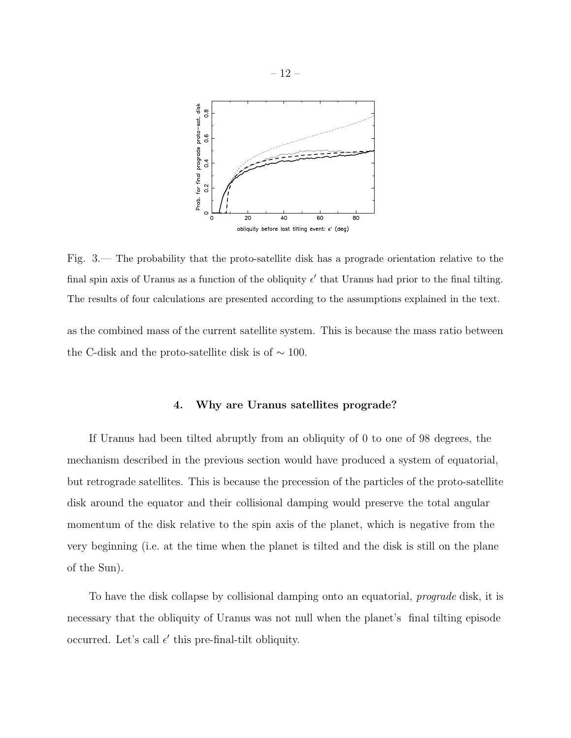

<span id="page-11-0"></span>Fig. 3.— The probability that the proto-satellite disk has a prograde orientation relative to the final spin axis of Uranus as a function of the obliquity  $\epsilon'$  that Uranus had prior to the final tilting. The results of four calculations are presented according to the assumptions explained in the text.

as the combined mass of the current satellite system. This is because the mass ratio between the C-disk and the proto-satellite disk is of  $\sim$  100.

# 4. Why are Uranus satellites prograde?

If Uranus had been tilted abruptly from an obliquity of 0 to one of 98 degrees, the mechanism described in the previous section would have produced a system of equatorial, but retrograde satellites. This is because the precession of the particles of the proto-satellite disk around the equator and their collisional damping would preserve the total angular momentum of the disk relative to the spin axis of the planet, which is negative from the very beginning (i.e. at the time when the planet is tilted and the disk is still on the plane of the Sun).

To have the disk collapse by collisional damping onto an equatorial, *prograde* disk, it is necessary that the obliquity of Uranus was not null when the planet's final tilting episode occurred. Let's call  $\epsilon'$  this pre-final-tilt obliquity.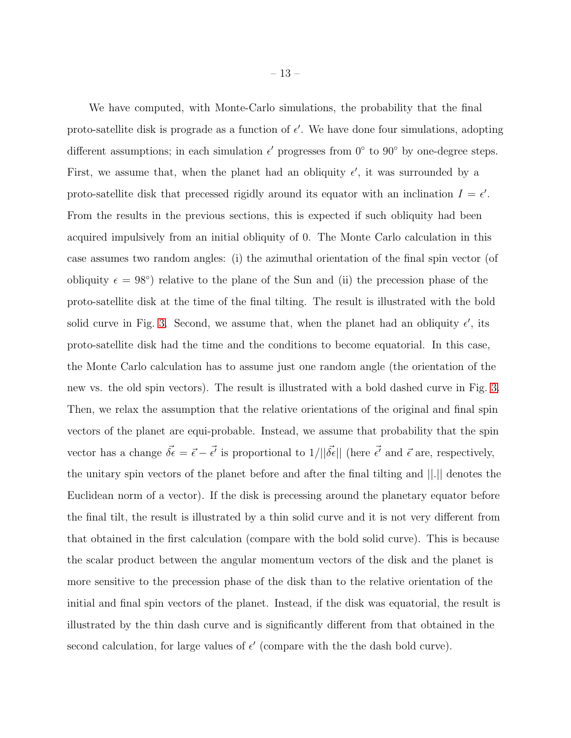We have computed, with Monte-Carlo simulations, the probability that the final proto-satellite disk is prograde as a function of  $\epsilon'$ . We have done four simulations, adopting different assumptions; in each simulation  $\epsilon'$  progresses from  $0^{\circ}$  to  $90^{\circ}$  by one-degree steps. First, we assume that, when the planet had an obliquity  $\epsilon'$ , it was surrounded by a proto-satellite disk that precessed rigidly around its equator with an inclination  $I = \epsilon'$ . From the results in the previous sections, this is expected if such obliquity had been acquired impulsively from an initial obliquity of 0. The Monte Carlo calculation in this case assumes two random angles: (i) the azimuthal orientation of the final spin vector (of obliquity  $\epsilon = 98^{\circ}$ ) relative to the plane of the Sun and (ii) the precession phase of the proto-satellite disk at the time of the final tilting. The result is illustrated with the bold solid curve in Fig. [3.](#page-11-0) Second, we assume that, when the planet had an obliquity  $\epsilon'$ , its proto-satellite disk had the time and the conditions to become equatorial. In this case, the Monte Carlo calculation has to assume just one random angle (the orientation of the new vs. the old spin vectors). The result is illustrated with a bold dashed curve in Fig. [3.](#page-11-0) Then, we relax the assumption that the relative orientations of the original and final spin vectors of the planet are equi-probable. Instead, we assume that probability that the spin vector has a change  $\vec{\delta \epsilon} = \vec{\epsilon} - \vec{\epsilon'}$  is proportional to  $1/||\vec{\delta \epsilon}||$  (here  $\vec{\epsilon'}$  and  $\vec{\epsilon}$  are, respectively, the unitary spin vectors of the planet before and after the final tilting and ||.|| denotes the Euclidean norm of a vector). If the disk is precessing around the planetary equator before the final tilt, the result is illustrated by a thin solid curve and it is not very different from that obtained in the first calculation (compare with the bold solid curve). This is because the scalar product between the angular momentum vectors of the disk and the planet is more sensitive to the precession phase of the disk than to the relative orientation of the initial and final spin vectors of the planet. Instead, if the disk was equatorial, the result is illustrated by the thin dash curve and is significantly different from that obtained in the second calculation, for large values of  $\epsilon'$  (compare with the the dash bold curve).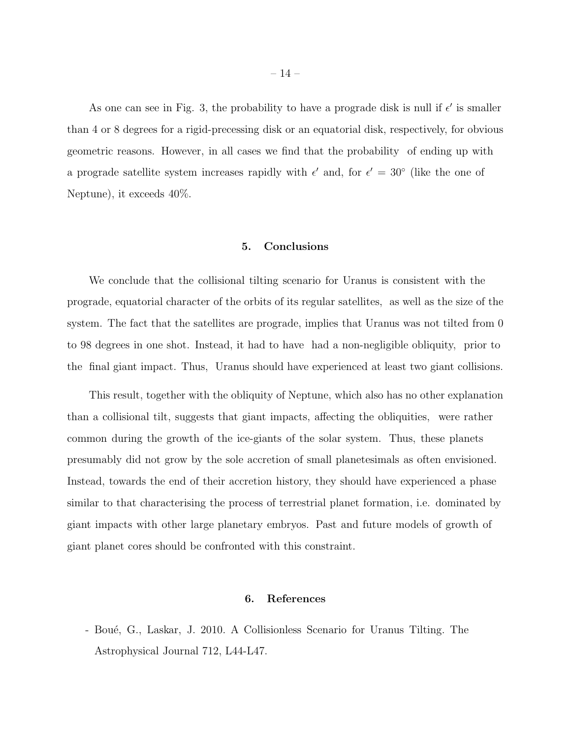As one can see in Fig. 3, the probability to have a prograde disk is null if  $\epsilon'$  is smaller than 4 or 8 degrees for a rigid-precessing disk or an equatorial disk, respectively, for obvious geometric reasons. However, in all cases we find that the probability of ending up with a prograde satellite system increases rapidly with  $\epsilon'$  and, for  $\epsilon' = 30^{\circ}$  (like the one of Neptune), it exceeds 40%.

## 5. Conclusions

We conclude that the collisional tilting scenario for Uranus is consistent with the prograde, equatorial character of the orbits of its regular satellites, as well as the size of the system. The fact that the satellites are prograde, implies that Uranus was not tilted from 0 to 98 degrees in one shot. Instead, it had to have had a non-negligible obliquity, prior to the final giant impact. Thus, Uranus should have experienced at least two giant collisions.

This result, together with the obliquity of Neptune, which also has no other explanation than a collisional tilt, suggests that giant impacts, affecting the obliquities, were rather common during the growth of the ice-giants of the solar system. Thus, these planets presumably did not grow by the sole accretion of small planetesimals as often envisioned. Instead, towards the end of their accretion history, they should have experienced a phase similar to that characterising the process of terrestrial planet formation, i.e. dominated by giant impacts with other large planetary embryos. Past and future models of growth of giant planet cores should be confronted with this constraint.

## 6. References

- Bou´e, G., Laskar, J. 2010. A Collisionless Scenario for Uranus Tilting. The Astrophysical Journal 712, L44-L47.